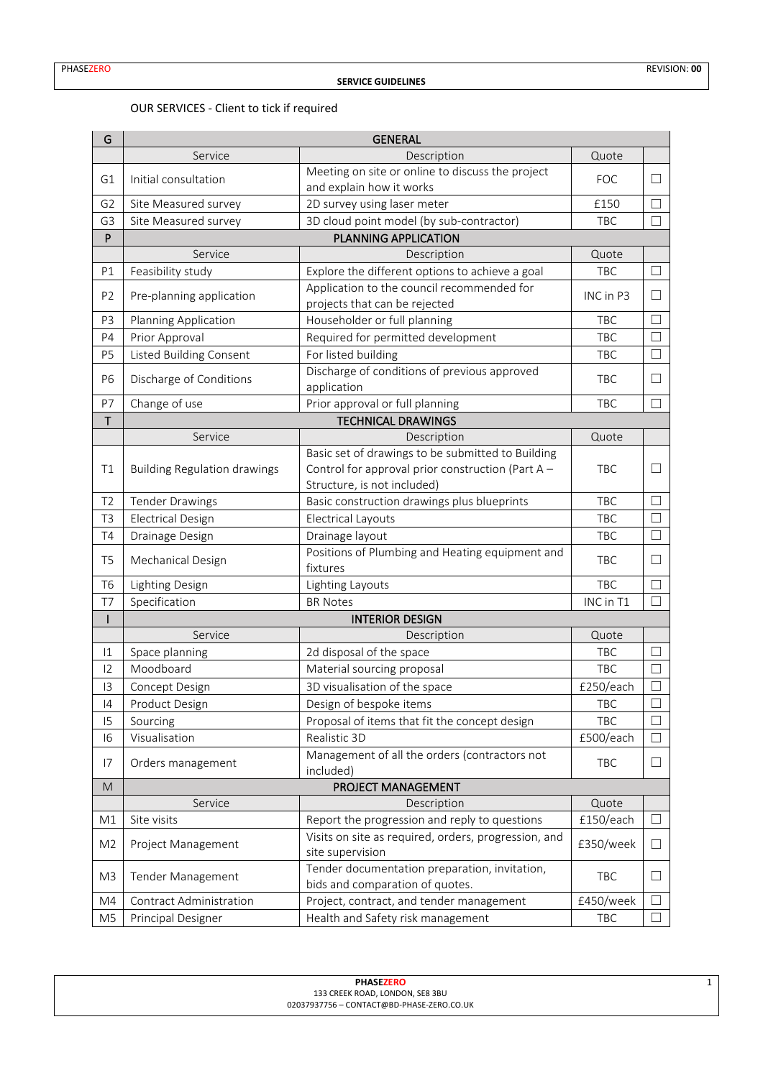## OUR SERVICES - Client to tick if required

| G              | <b>GENERAL</b>                      |                                                                                  |            |         |  |  |  |
|----------------|-------------------------------------|----------------------------------------------------------------------------------|------------|---------|--|--|--|
|                | Service                             | Description                                                                      | Quote      |         |  |  |  |
| G1             | Initial consultation                | Meeting on site or online to discuss the project<br>and explain how it works     | <b>FOC</b> | $\perp$ |  |  |  |
| G <sub>2</sub> | Site Measured survey                | 2D survey using laser meter                                                      | £150       | П       |  |  |  |
| G <sub>3</sub> | Site Measured survey                | 3D cloud point model (by sub-contractor)                                         | TBC        | П       |  |  |  |
| P              | PLANNING APPLICATION                |                                                                                  |            |         |  |  |  |
|                | Service                             | Description                                                                      | Quote      |         |  |  |  |
| P1             | Feasibility study                   | Explore the different options to achieve a goal                                  | TBC        | $\Box$  |  |  |  |
| P <sub>2</sub> | Pre-planning application            | Application to the council recommended for<br>projects that can be rejected      | INC in P3  | Ш       |  |  |  |
| P <sub>3</sub> | Planning Application                | Householder or full planning                                                     | TBC        | $\Box$  |  |  |  |
| P4             | Prior Approval                      | Required for permitted development                                               | TBC        | П       |  |  |  |
| P <sub>5</sub> | Listed Building Consent             | For listed building                                                              | TBC        | $\Box$  |  |  |  |
| P <sub>6</sub> | Discharge of Conditions             | Discharge of conditions of previous approved<br>application                      | TBC        | П       |  |  |  |
| P7             | Change of use                       | Prior approval or full planning                                                  | TBC        | $\Box$  |  |  |  |
| T              |                                     | <b>TECHNICAL DRAWINGS</b>                                                        |            |         |  |  |  |
|                | Service                             | Description                                                                      | Quote      |         |  |  |  |
|                |                                     | Basic set of drawings to be submitted to Building                                |            |         |  |  |  |
| T1             | <b>Building Regulation drawings</b> | Control for approval prior construction (Part A -<br>Structure, is not included) | TBC        | Ш       |  |  |  |
| T <sub>2</sub> | <b>Tender Drawings</b>              | Basic construction drawings plus blueprints                                      | TBC        | П       |  |  |  |
| T <sub>3</sub> | <b>Electrical Design</b>            | <b>Electrical Layouts</b>                                                        | <b>TBC</b> | П       |  |  |  |
| T <sub>4</sub> | Drainage Design                     | Drainage layout                                                                  | TBC        | П       |  |  |  |
| T <sub>5</sub> | Mechanical Design                   | Positions of Plumbing and Heating equipment and<br>fixtures                      | <b>TBC</b> | $\Box$  |  |  |  |
| T <sub>6</sub> | Lighting Design                     | Lighting Layouts                                                                 | TBC        | $\Box$  |  |  |  |
| T7             | Specification                       | <b>BR Notes</b>                                                                  | INC in T1  | П       |  |  |  |
| L              |                                     | <b>INTERIOR DESIGN</b>                                                           |            |         |  |  |  |
|                | Service                             | Description                                                                      | Quote      |         |  |  |  |
| $ 1\rangle$    | Space planning                      | 2d disposal of the space                                                         | TBC        | Ш       |  |  |  |
| 12             | Moodboard                           | Material sourcing proposal                                                       | TBC        | $\Box$  |  |  |  |
| 13             | Concept Design                      | 3D visualisation of the space                                                    | £250/each  | $\Box$  |  |  |  |
| 4              | Product Design                      | Design of bespoke items                                                          | TBC        | $\Box$  |  |  |  |
| 15             | Sourcing                            | Proposal of items that fit the concept design                                    | TBC        | $\Box$  |  |  |  |
| 16             | Visualisation                       | Realistic 3D                                                                     | £500/each  | □       |  |  |  |
| 17             | Orders management                   | Management of all the orders (contractors not<br>included)                       | TBC        | $\Box$  |  |  |  |
| M              | PROJECT MANAGEMENT                  |                                                                                  |            |         |  |  |  |
|                | Service                             | Description                                                                      | Quote      |         |  |  |  |
| M1             | Site visits                         | Report the progression and reply to questions                                    | £150/each  | $\Box$  |  |  |  |
| M <sub>2</sub> | Project Management                  | Visits on site as required, orders, progression, and<br>site supervision         | £350/week  | $\Box$  |  |  |  |
| M <sub>3</sub> | Tender Management                   | Tender documentation preparation, invitation,<br>bids and comparation of quotes. | TBC        | $\Box$  |  |  |  |
| M4             | Contract Administration             | Project, contract, and tender management                                         | £450/week  | Ш       |  |  |  |
| M <sub>5</sub> | Principal Designer                  | Health and Safety risk management                                                | TBC        | $\Box$  |  |  |  |